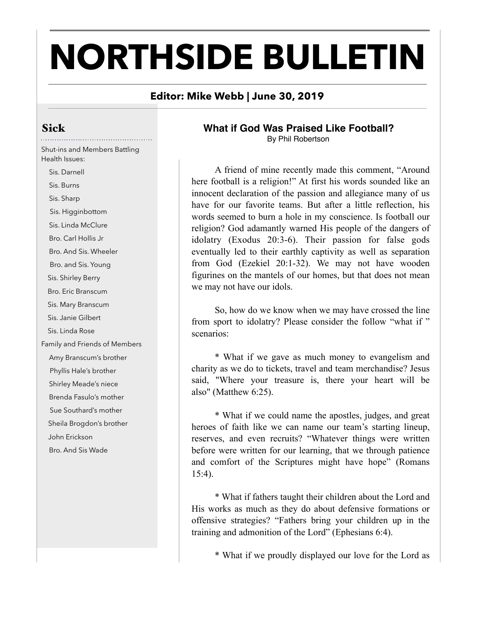# **NORTHSIDE BULLETIN**

### **Editor: Mike Webb | June 30, 2019**

## Sick

Shut-ins and Members Battling Health Issues:

 Sis. Darnell Sis. Burns Sis. Sharp Sis. Higginbottom Sis. Linda McClure Bro. Carl Hollis Jr Bro. And Sis. Wheeler Bro. and Sis. Young Sis. Shirley Berry Bro. Eric Branscum Sis. Mary Branscum Sis. Janie Gilbert Sis. Linda Rose Family and Friends of Members Amy Branscum's brother Phyllis Hale's brother Shirley Meade's niece Brenda Fasulo's mother Sue Southard's mother Sheila Brogdon's brother John Erickson Bro. And Sis Wade

# **What if God Was Praised Like Football?**

By Phil Robertson

A friend of mine recently made this comment, "Around here football is a religion!" At first his words sounded like an innocent declaration of the passion and allegiance many of us have for our favorite teams. But after a little reflection, his words seemed to burn a hole in my conscience. Is football our religion? God adamantly warned His people of the dangers of idolatry (Exodus 20:3-6). Their passion for false gods eventually led to their earthly captivity as well as separation from God (Ezekiel 20:1-32). We may not have wooden figurines on the mantels of our homes, but that does not mean we may not have our idols.

 So, how do we know when we may have crossed the line from sport to idolatry? Please consider the follow "what if " scenarios:

 \* What if we gave as much money to evangelism and charity as we do to tickets, travel and team merchandise? Jesus said, "Where your treasure is, there your heart will be also" (Matthew 6:25).

 \* What if we could name the apostles, judges, and great heroes of faith like we can name our team's starting lineup, reserves, and even recruits? "Whatever things were written before were written for our learning, that we through patience and comfort of the Scriptures might have hope" (Romans 15:4).

 \* What if fathers taught their children about the Lord and His works as much as they do about defensive formations or offensive strategies? "Fathers bring your children up in the training and admonition of the Lord" (Ephesians 6:4).

\* What if we proudly displayed our love for the Lord as